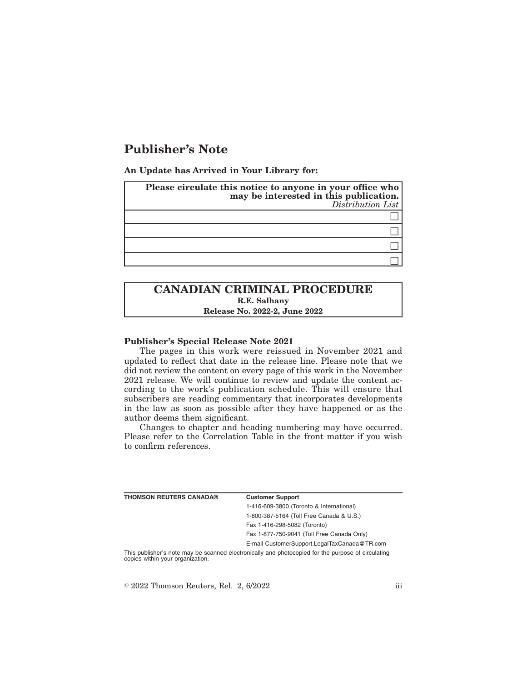# **Publisher's Note**

**An Update has Arrived in Your Library for:**

| Please circulate this notice to anyone in your office who<br>may be interested in this publication.<br>Distribution List |  |
|--------------------------------------------------------------------------------------------------------------------------|--|
|                                                                                                                          |  |
|                                                                                                                          |  |
|                                                                                                                          |  |
|                                                                                                                          |  |

## **CANADIAN CRIMINAL PROCEDURE R.E. Salhany Release No. 2022-2, June 2022**

#### **Publisher's Special Release Note 2021**

The pages in this work were reissued in November 2021 and updated to reflect that date in the release line. Please note that we did not review the content on every page of this work in the November 2021 release. We will continue to review and update the content according to the work's publication schedule. This will ensure that subscribers are reading commentary that incorporates developments in the law as soon as possible after they have happened or as the author deems them significant.

Changes to chapter and heading numbering may have occurred. Please refer to the Correlation Table in the front matter if you wish to confirm references.

| <b>THOMSON REUTERS CANADA®</b>   | <b>Customer Support</b>                                                                            |
|----------------------------------|----------------------------------------------------------------------------------------------------|
|                                  | 1-416-609-3800 (Toronto & International)                                                           |
|                                  | 1-800-387-5164 (Toll Free Canada & U.S.)                                                           |
|                                  | Fax 1-416-298-5082 (Toronto)                                                                       |
|                                  | Fax 1-877-750-9041 (Toll Free Canada Only)                                                         |
|                                  | E-mail CustomerSupport.LegalTaxCanada@TR.com                                                       |
| copies within your organization. | This publisher's note may be scanned electronically and photocopied for the purpose of circulating |

 $\textdegree$  2022 Thomson Reuters, Rel. 2, 6/2022 iii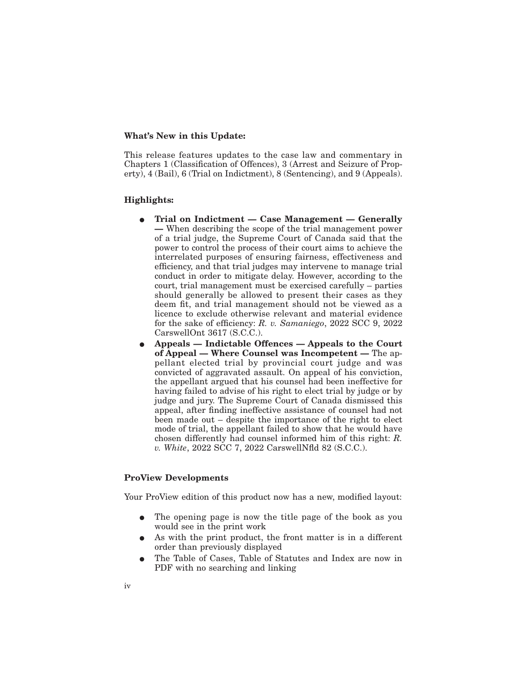#### **What's New in this Update:**

This release features updates to the case law and commentary in Chapters 1 (Classification of Offences), 3 (Arrest and Seizure of Property), 4 (Bail), 6 (Trial on Indictment), 8 (Sentencing), and 9 (Appeals).

#### **Highlights:**

- Trial on Indictment Case Management Generally **—** When describing the scope of the trial management power of a trial judge, the Supreme Court of Canada said that the power to control the process of their court aims to achieve the interrelated purposes of ensuring fairness, effectiveness and efficiency, and that trial judges may intervene to manage trial conduct in order to mitigate delay. However, according to the court, trial management must be exercised carefully – parties should generally be allowed to present their cases as they deem fit, and trial management should not be viewed as a licence to exclude otherwise relevant and material evidence for the sake of efficiency: *R. v. Samaniego*, 2022 SCC 9, 2022 CarswellOnt 3617 (S.C.C.).
- E **Appeals Indictable Offences Appeals to the Court of Appeal — Where Counsel was Incompetent —** The appellant elected trial by provincial court judge and was convicted of aggravated assault. On appeal of his conviction, the appellant argued that his counsel had been ineffective for having failed to advise of his right to elect trial by judge or by judge and jury. The Supreme Court of Canada dismissed this appeal, after finding ineffective assistance of counsel had not been made out – despite the importance of the right to elect mode of trial, the appellant failed to show that he would have chosen differently had counsel informed him of this right: *R. v. White*, 2022 SCC 7, 2022 CarswellNfld 82 (S.C.C.).

### **ProView Developments**

Your ProView edition of this product now has a new, modified layout:

- The opening page is now the title page of the book as you would see in the print work
- As with the print product, the front matter is in a different order than previously displayed
- The Table of Cases, Table of Statutes and Index are now in PDF with no searching and linking